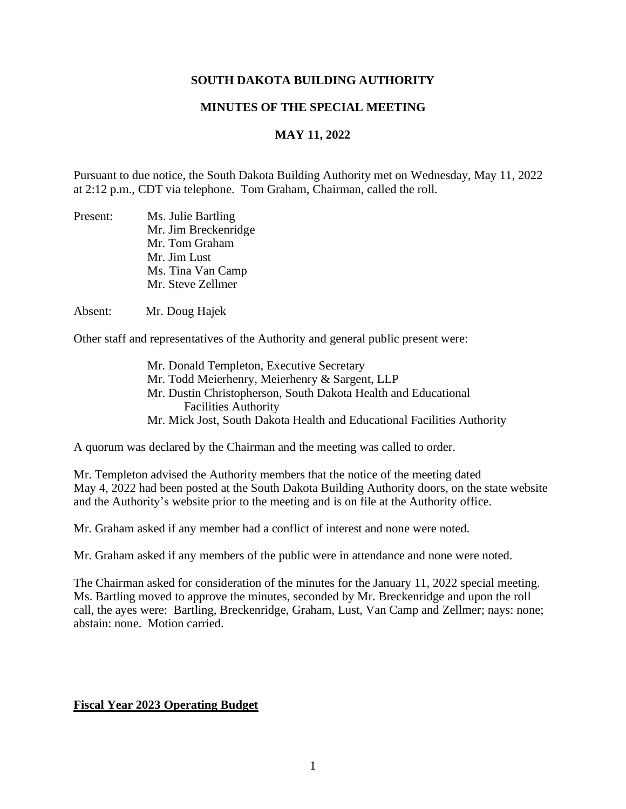## **SOUTH DAKOTA BUILDING AUTHORITY**

### **MINUTES OF THE SPECIAL MEETING**

# **MAY 11, 2022**

Pursuant to due notice, the South Dakota Building Authority met on Wednesday, May 11, 2022 at 2:12 p.m., CDT via telephone. Tom Graham, Chairman, called the roll.

| Present: | Ms. Julie Bartling   |
|----------|----------------------|
|          | Mr. Jim Breckenridge |
|          | Mr. Tom Graham       |
|          | Mr. Jim Lust         |
|          | Ms. Tina Van Camp    |
|          | Mr. Steve Zellmer    |

Absent: Mr. Doug Hajek

Other staff and representatives of the Authority and general public present were:

Mr. Donald Templeton, Executive Secretary Mr. Todd Meierhenry, Meierhenry & Sargent, LLP Mr. Dustin Christopherson, South Dakota Health and Educational Facilities Authority Mr. Mick Jost, South Dakota Health and Educational Facilities Authority

A quorum was declared by the Chairman and the meeting was called to order.

Mr. Templeton advised the Authority members that the notice of the meeting dated May 4, 2022 had been posted at the South Dakota Building Authority doors, on the state website and the Authority's website prior to the meeting and is on file at the Authority office.

Mr. Graham asked if any member had a conflict of interest and none were noted.

Mr. Graham asked if any members of the public were in attendance and none were noted.

The Chairman asked for consideration of the minutes for the January 11, 2022 special meeting. Ms. Bartling moved to approve the minutes, seconded by Mr. Breckenridge and upon the roll call, the ayes were: Bartling, Breckenridge, Graham, Lust, Van Camp and Zellmer; nays: none; abstain: none. Motion carried.

#### **Fiscal Year 2023 Operating Budget**